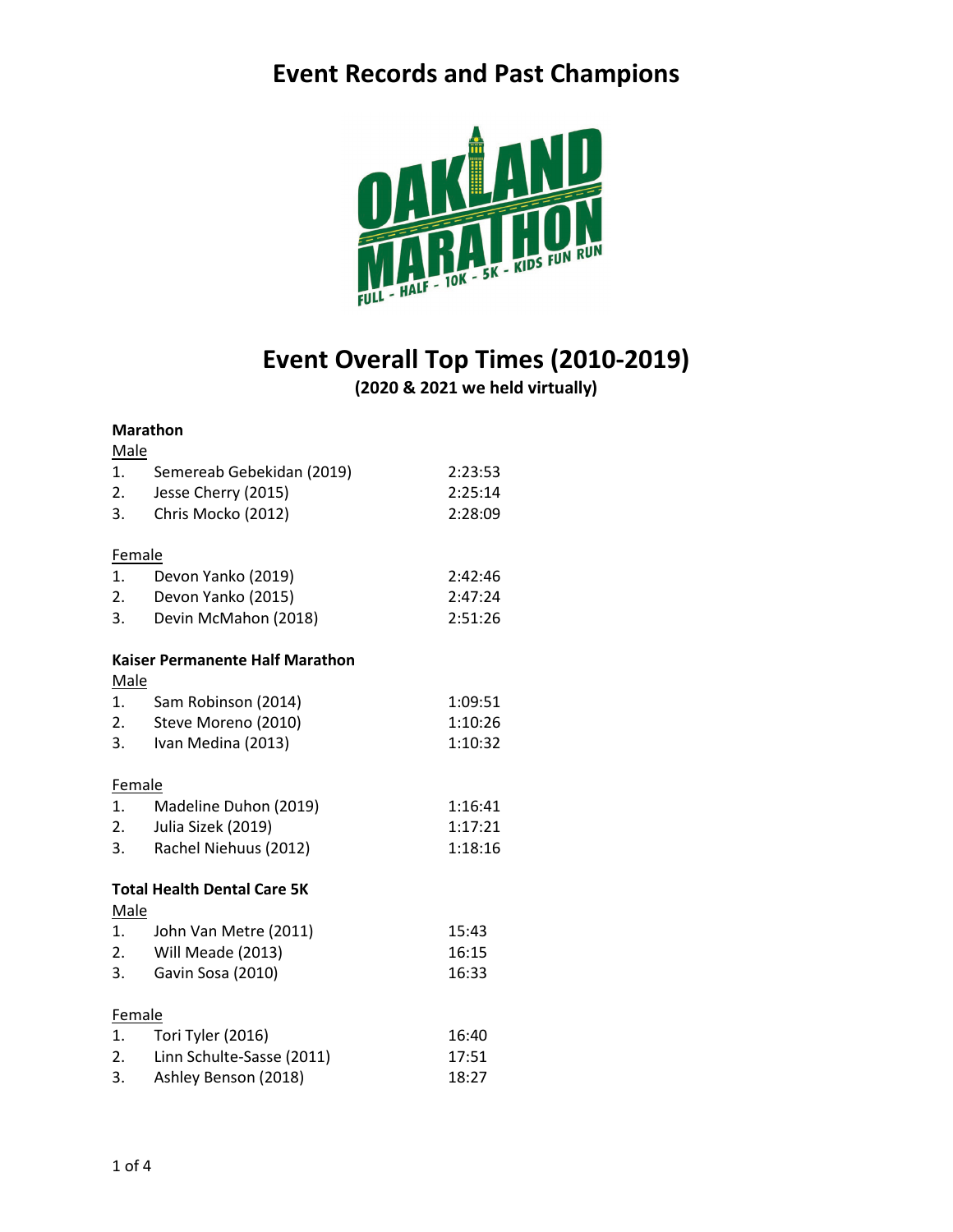

## **Event Overall Top Times (2010-2019)**

**(2020 & 2021 we held virtually)**

#### **Marathon**

| Male                               |                                        |         |  |  |
|------------------------------------|----------------------------------------|---------|--|--|
| 1.                                 | Semereab Gebekidan (2019)              | 2:23:53 |  |  |
| 2.                                 | Jesse Cherry (2015)                    | 2:25:14 |  |  |
| 3.                                 | Chris Mocko (2012)                     | 2:28:09 |  |  |
|                                    |                                        |         |  |  |
| Female                             |                                        |         |  |  |
| 1.                                 | Devon Yanko (2019)                     | 2:42:46 |  |  |
| 2.                                 | Devon Yanko (2015)                     | 2:47:24 |  |  |
| 3.                                 | Devin McMahon (2018)                   | 2:51:26 |  |  |
|                                    | <b>Kaiser Permanente Half Marathon</b> |         |  |  |
| Male                               |                                        |         |  |  |
| 1.                                 | Sam Robinson (2014)                    | 1:09:51 |  |  |
| 2.                                 | Steve Moreno (2010)                    | 1:10:26 |  |  |
| 3.                                 | Ivan Medina (2013)                     | 1:10:32 |  |  |
|                                    |                                        |         |  |  |
| Female                             |                                        |         |  |  |
| 1.                                 | Madeline Duhon (2019)                  | 1:16:41 |  |  |
| 2.                                 | Julia Sizek (2019)                     | 1:17:21 |  |  |
| 3.                                 | Rachel Niehuus (2012)                  | 1:18:16 |  |  |
|                                    |                                        |         |  |  |
| <b>Total Health Dental Care 5K</b> |                                        |         |  |  |
| <b>Male</b>                        |                                        |         |  |  |
| 1.                                 | John Van Metre (2011)                  | 15:43   |  |  |
| 2.                                 | Will Meade (2013)                      | 16:15   |  |  |
| 3.                                 | Gavin Sosa (2010)                      | 16:33   |  |  |
| Female                             |                                        |         |  |  |
| 1.                                 | Tori Tyler (2016)                      | 16:40   |  |  |
| 2.                                 | Linn Schulte-Sasse (2011)              | 17:51   |  |  |
| 3.                                 | Ashley Benson (2018)                   | 18:27   |  |  |
|                                    |                                        |         |  |  |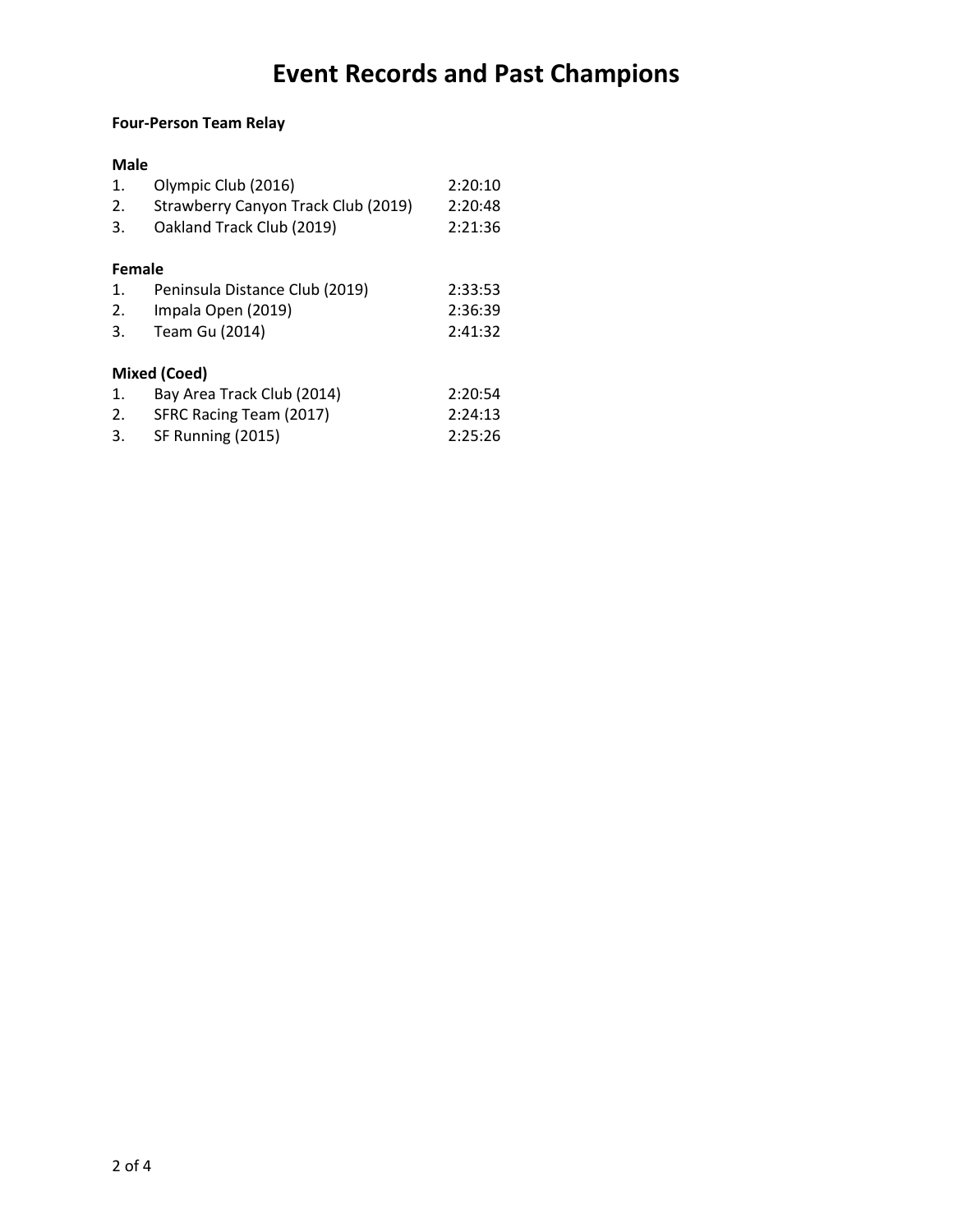### **Four-Person Team Relay**

### **Male**

| 1.     | Olympic Club (2016)                 | 2:20:10 |
|--------|-------------------------------------|---------|
| 2.     | Strawberry Canyon Track Club (2019) | 2:20:48 |
| 3.     | Oakland Track Club (2019)           | 2:21:36 |
|        |                                     |         |
| Female |                                     |         |
| 1.     | Peninsula Distance Club (2019)      | 2:33:53 |
| 2.     | Impala Open (2019)                  | 2:36:39 |
| 3.     | Team Gu (2014)                      | 2:41:32 |
|        |                                     |         |
|        | <b>Mixed (Coed)</b>                 |         |
| 1.     | Bay Area Track Club (2014)          | 2:20:54 |
| 2.     | SFRC Racing Team (2017)             | 2:24:13 |
| 3.     | SF Running (2015)                   | 2:25:26 |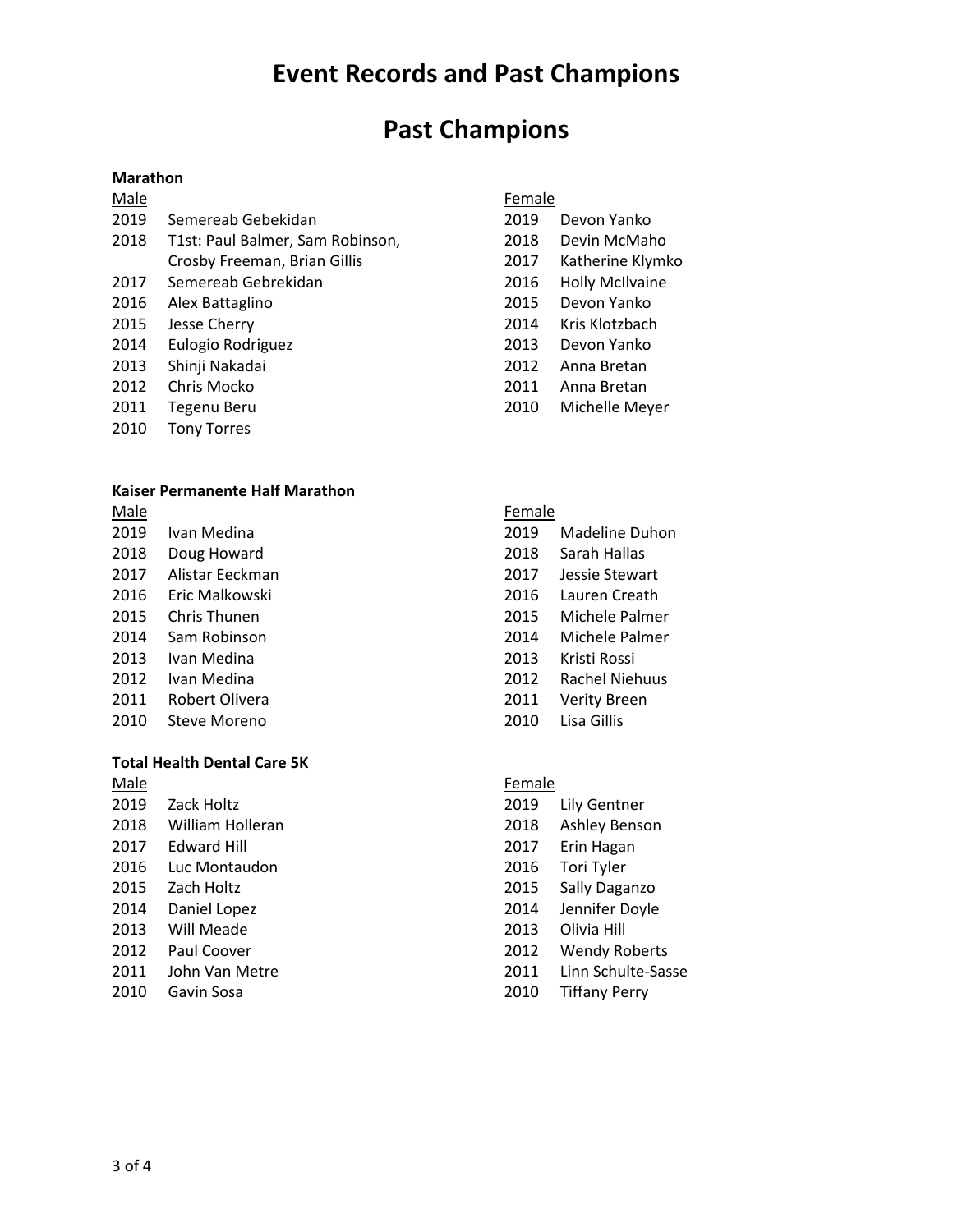### **Past Champions**

#### **Marathon**

| Male |                                       |
|------|---------------------------------------|
|      | 2019 Semereab Gebekidan               |
|      | 2018 T1st: Paul Balmer, Sam Robinson, |

- Crosby Freeman, Brian Gillis
- Semereab Gebrekidan
- Alex Battaglino
- Jesse Cherry
- Eulogio Rodriguez
- Shinji Nakadai
- Chris Mocko
- Tegenu Beru
- Tony Torres

#### **Kaiser Permanente Half Marathon**

- Male Ivan Medina Doug Howard Alistar Eeckman Eric Malkowski Chris Thunen Sam Robinson
- Ivan Medina
- Ivan Medina
- Robert Olivera
- Steve Moreno

#### **Total Health Dental Care 5K**

- Male Zack Holtz William Holleran Edward Hill Luc Montaudon Zach Holtz Daniel Lopez
- Will Meade
- Paul Coover
- John Van Metre
- Gavin Sosa

#### Female

- Devon Yanko
- Devin McMaho
- Katherine Klymko
- Holly McIlvaine
- Devon Yanko
- Kris Klotzbach
- Devon Yanko
- Anna Bretan
- Anna Bretan
- Michelle Meyer

#### Female

- Madeline Duhon Sarah Hallas
- Jessie Stewart
- Lauren Creath
- Michele Palmer
- Michele Palmer
- Kristi Rossi
- Rachel Niehuus
- Verity Breen
- Lisa Gillis

#### Female

- Lily Gentner
- Ashley Benson
- Erin Hagan
- Tori Tyler
- Sally Daganzo
- Jennifer Doyle
- Olivia Hill
- Wendy Roberts
- Linn Schulte-Sasse
- Tiffany Perry